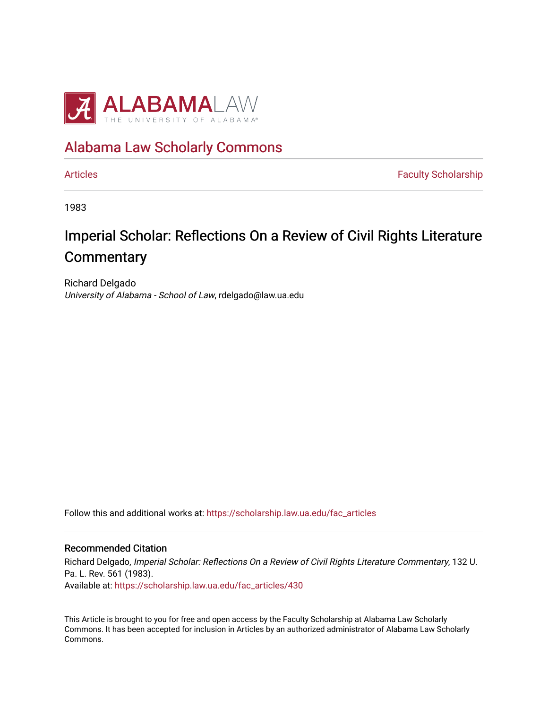

## [Alabama Law Scholarly Commons](https://scholarship.law.ua.edu/)

[Articles](https://scholarship.law.ua.edu/fac_articles) **Faculty Scholarship** 

1983

# Imperial Scholar: Reflections On a Review of Civil Rights Literature **Commentary**

Richard Delgado University of Alabama - School of Law, rdelgado@law.ua.edu

Follow this and additional works at: [https://scholarship.law.ua.edu/fac\\_articles](https://scholarship.law.ua.edu/fac_articles?utm_source=scholarship.law.ua.edu%2Ffac_articles%2F430&utm_medium=PDF&utm_campaign=PDFCoverPages) 

#### Recommended Citation

Richard Delgado, Imperial Scholar: Reflections On a Review of Civil Rights Literature Commentary, 132 U. Pa. L. Rev. 561 (1983). Available at: [https://scholarship.law.ua.edu/fac\\_articles/430](https://scholarship.law.ua.edu/fac_articles/430?utm_source=scholarship.law.ua.edu%2Ffac_articles%2F430&utm_medium=PDF&utm_campaign=PDFCoverPages) 

This Article is brought to you for free and open access by the Faculty Scholarship at Alabama Law Scholarly Commons. It has been accepted for inclusion in Articles by an authorized administrator of Alabama Law Scholarly Commons.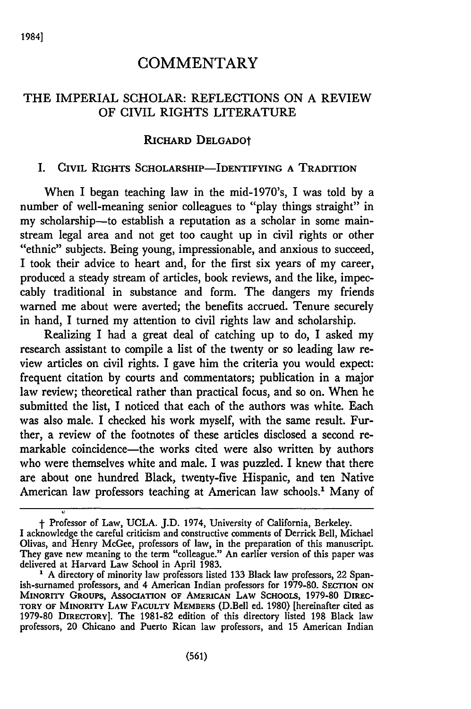### **COMMENTARY**

#### THE IMPERIAL SCHOLAR: REFLECTIONS ON A REVIEW OF CIVIL RIGHTS LITERATURE

#### RICHARD DELGADOt

#### I. CIVIL RIGHTS SCHOLARSHIP-IDENTIFYING **A** TRADITION

When I began teaching law in the mid-1970's, I was told **by** a number of well-meaning senior colleagues to "play things straight" in my scholarship-to establish a reputation as a scholar in some mainstream legal area and not get too caught up in civil rights or other "ethnic" subjects. Being young, impressionable, and anxious to succeed, I took their advice to heart and, for the first six years of my career, produced a steady stream of articles, book reviews, and the like, impeccably traditional in substance and form. The dangers my friends warned me about were averted; the benefits accrued. Tenure securely in hand, I turned my attention to civil rights law and scholarship.

Realizing I had a great deal of catching up to do, I asked my research assistant to compile a list of the twenty or so leading law review articles on civil rights. I gave him the criteria you would expect: frequent citation **by** courts and commentators; publication in a major law review; theoretical rather than practical focus, and so on. When he submitted the list, I noticed that each of the authors was white. Each was also male. I checked his work myself, with the same result. Further, a review of the footnotes of these articles disclosed a second remarkable coincidence-the works cited were also written **by** authors who were themselves white and male. I was puzzled. I knew that there are about one hundred Black, twenty-five Hispanic, and ten Native American law professors teaching at American law schools.' Many of

t Professor of Law, **UCLA. J.D.** 1974, University of California, Berkeley. **I** acknowledge the careful criticism and constructive comments of Derrick Bell, Michael Olivas, and Henry McGee, professors of law, in the preparation of this manuscript. They gave new meaning to the term "colleague." An earlier version of this paper was delivered at Harvard Law School in April **1983.**

**<sup>1</sup>** A directory of minority law professors listed 133 Black law professors, 22 Spanish-surnamed professors, and 4 American Indian professors for **1979-80. SECTION ON MINORITY GROUPS,** ASSOCIATION **OF AMERICAN LAW SCHOOLS, 1979-80** DIREC-TORY OF MINORITY LAW **FACULTY** MEMBERS (D.Bell ed. **1980)** [hereinafter cited as **1979-80** DIRECTORY]. The **1981-82** edition of this directory listed **198** Black law professors, 20 Chicano and Puerto Rican law professors, and **15** American Indian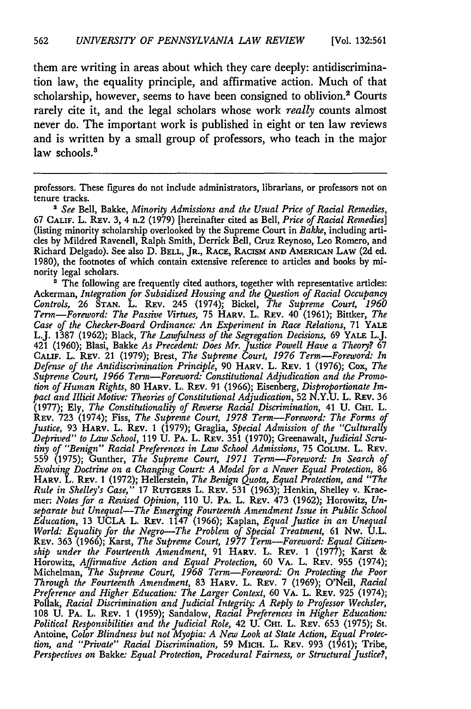them are writing in areas about which they care deeply: antidiscrimination law, the equality principle, and affirmative action. Much of that scholarship, however, seems to have been consigned to oblivion.<sup>2</sup> Courts rarely cite it, and the legal scholars whose work *really* counts almost never do. The important work is published in eight or ten law reviews and is written **by** a small group of professors, who teach in the major law schools.<sup>3</sup>

<sup>3</sup> The following are frequently cited authors, together with representative articles: Ackerman, *Integration for Subsidized Housing and the Question of Racial Occupancy Controls,* 26 **STAN.** L. REV. 245 (1974); Bickel, *The Supreme Court, 1960 Term-Foreword: The Passive Virtues,* 75 **HARV.** L. REv. 40 (1961); Bittker, *The Case of the Checker-Board Ordinance: An Experiment in Race Relations,* 71 **YALE** L.J. 1387 (1962); Black, *The Lawfulness of the Segregation Decisions,* 69 **YALE** L.J. 421 (1960); Blasi, Bakke *As Precedent: Does Mr. Justice Powell Have a Theory?* 67 **CALIF.** L. REV. 21 (1979); Brest, *The Supreme Court, 1976 Term-Foreword: In Defense of the Antidiscrimination Principle,* 90 HARV. L. REV. 1 (1976); Cox, The *Supreme Court, 1966 Term-Foreword: Constitutional Adjudication and the Promotion of Human Rights,* 80 **HARy.** L. **REV.** 91 (1966); Eisenberg, *Disproportionate Impact and Illicit Motive: Theories of Constitutional Adjudication,* 52 N.Y.U. L. REv. 36 (1977); Ely, *The Constitutionality of Reverse Racal Discrimination,* 41 U. **CHI.** L. **REV.** 723 (1974); Fiss, *The Supreme Court, 1978 Term-Foreword: The Forms of Justice,* 93 **HARV.** L. **REV.** 1 (1979); Graglia, *Special Admission of the "Culturally Deprived" to Law School,* 119 U. PA. L. REV. 351 (1970); Greenawalt, Judicial *Scrutiny of "Benign" Racial Preferences in Law School Admissions,* 75 COLUM. L. REv. 559 (1975); Gunther, *The Supreme Court, 1971 Term-Foreword: In Search of Evolving Doctrine on a Changing Court: A Model for a Newer Equal Protection,* <sup>86</sup> **HARV.** L. REV. 1 (1972); Hellerstein, *The Benign Quota, Equal Protection, and "The Rule in Shelley's Case,"* 17 RUTGERS L. REV. 531 (1963); Henkin, Shelley v. Kraemer: *Notes for a Revised Opinion,* 110 U. PA. L. REV. 473 (1962); Horowitz, *Unseparate but Unequal-The Emerging Fourteenth Amendment Issue in Public School Education,* 13 UCLA L. REv. 1147 (1966); Kaplan, *Equal Justice in an Unequal World: Equality for the Negro-The Problem of Special Treatment,* 61 Nw. U.L. REV. 363 (1966); Karst, *The Supreme Court, 1977 Term-Foreword: Equal Citizenship under the Fourteenth Amendment,* 91 **HARV.** L. REV. 1 (1977); Karst & Horowitz, *Affirmative Action and Equal Protection,* 60 VA. L. REv. 955 (1974); Michelman, *The Supreme Court, 1968 Term-Foreword: On Protecting the Poor Through the Fourteenth Amendment,* 83 **HARV.** L. REV. 7 (1969); O'Neil, *Racial Preference and Higher Education: The Larger Context,* 60 **VA.** L. REV. 925 (1974); Pollak, *Racial Discrimination and Judicial Integrity: A Reply to Professor Wechsler,* 108 U. PA. L. REV. 1 (1959); Sandalow, *Racial Preferences in Higher Education: Political Responsibilities and the Judicial Role,* 42 U. **CHI.** L. REV. 653 (1975); St. Antoine, *Color Blindness but not Myopia: A New Look at State Action, Equal Protection, and "Private" Racial Discrimination,* 59 **MICH.** L. REv. 993 (1961); Tribe, *Perspectives on* Bakke: *Equal Protection, Procedural Fairness, or Structural Justice?,*

professors. These figures do not include administrators, librarians, or professors not on tenure tracks.

*<sup>&#</sup>x27; See* Bell, Bakke, *Minority Admissions and the Usual Price of Racial Remedies,* 67 **CALIF.** L. REV. 3, 4 n.2 (1979) [hereinafter cited as Bell, *Price of Racial Remedies]* (listing minority scholarship overlooked by the Supreme Court in *Bakke,* including articles by Mildred Ravenell, Ralph Smith, Derrick Bell, Cruz Reynoso, Leo Romero, and Richard Delgado). See also D. BELL, JR., RACE, RACISM **AND AMERICAN LAW** (2d ed. 1980), the footnotes of which contain extensive reference to articles and books by minority legal scholars.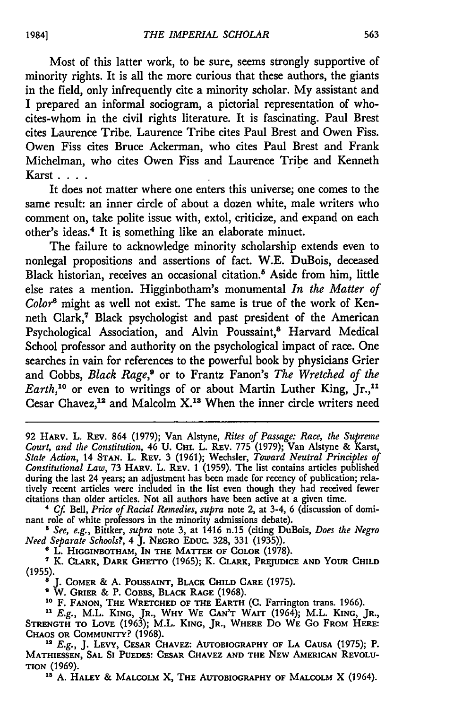Most of this latter work, to be sure, seems strongly supportive of minority rights. It is all the more curious that these authors, the giants in the field, only infrequently cite a minority scholar. My assistant and I prepared an informal sociogram, a pictorial representation of whocites-whom in the civil rights literature. It is fascinating. Paul Brest cites Laurence Tribe. Laurence Tribe cites Paul Brest and Owen Fiss. Owen Fiss cites Bruce Ackerman, who cites Paul Brest and Frank Michelman, who cites Owen Fiss and Laurence Tribe and Kenneth Karst **....**

It does not matter where one enters this universe; one comes to the same result: an inner circle of about a dozen white, male writers who comment on, take polite issue with, extol, criticize, and expand on each other's ideas." It **is** something like an elaborate minuet.

The failure to acknowledge minority scholarship extends even to nonlegal propositions and assertions of fact. W.E. DuBois, deceased Black historian, receives an occasional citation.5 Aside from him, little else rates a mention. Higginbotham's monumental *In the Matter of* Color<sup>6</sup> might as well not exist. The same is true of the work of Kenneth Clark,<sup>7</sup> Black psychologist and past president of the American Psychological Association, and Alvin Poussaint,<sup>8</sup> Harvard Medical School professor and authority on the psychological impact of race. One searches in vain for references to the powerful book **by** physicians Grier and Cobbs, *Black Rage,'* or to Frantz Fanon's *The Wretched of the* Earth,<sup>10</sup> or even to writings of or about Martin Luther King, Jr.,<sup>1</sup> Cesar Chavez,<sup>12</sup> and Malcolm X.<sup>13</sup> When the inner circle writers need

**92 HARv.** L. **REV.** 864 (1979); Van AIstyne, *Rites of Passage: Race, the Supreme Court, and the Constitution,* 46 U. CHI. L. **REv. 775** (1979); Van Alstyne & Karst, *State Action,* 14 **STAN.** L. **REv. 3** (1961); Wechsler, *Toward Neutral Principles of Constitutional Law,* **73 HARV.** L. **REV.** 1 (1959). The list contains articles published during the last 24 years; an adjustment has been made for recency of publication; relatively recent articles were included in the list even though they had received fewer citations than older articles. Not all authors have been active at a given time.

*4 Cf* Bell, *Price of Racial Remedies, supra* note 2, at 3-4, **6** (discussion of dominant role of white professors in the minority admissions debate).

*' See, e.g.,* Bittker, *supra* note **3,** at 1416 n.15 (citing DuBois, *Does the Negro Need Separate Schools?,* 4 J. **NEGRO EDUc.** 328, **331** (1935)).

**6** L. **HIGGINBOTHAM, IN THE MATTER OF COLOR (1978).**

**<sup>7</sup>**K. **CLARK, DARK** GHETTO (1965); K. **CLARK, PREJUDICE AND** YOUR **CHILD** (1955).

**8 J. COMER** *&* A. **POUSSAINT, BLACK CHILD CARE (1975).**

**9** W. **GRIER** & P. COBBS, **BLACK RAGE** (1968).

**10** F. **FANON, THE WRETCHED OF THE EARTH (C.** Farrington trans. 1966).

**11** *E.g.,* M.L. **KING,** JR., **WHY WE CAN'T WAIT** (1964); M.L. **KING,** JR., **STRENGTH TO LOVE** (1963); M.L. **KING, JR., WHERE Do WE** Go **FROM HERE: CHAOS OR COMMUNITY?** (1968).

**12** *E.g.,* **J. LEVY, CESAR CHAVEZ:** AUTOBIOGRAPHY **OF LA CAUSA** (1975); P. MATHIESSEN, **SAL** SI **PUEDES:** CESAR **CHAVEZ AND THE NEW** AMERICAN **REVOLU-**

**TION** (1969). **13 A. HALEY & MALCOLM** X, **THE AUTOBIOGRAPHY OF** MALCOLM X (1964).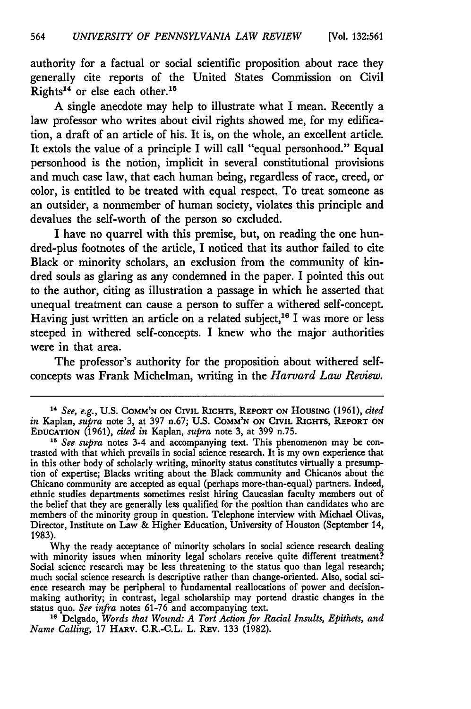authority for a factual or social scientific proposition about race they generally cite reports of the United States Commission on Civil Rights<sup>14</sup> or else each other.<sup>15</sup>

**A** single anecdote may **help** to illustrate what I mean. Recently a law professor who writes about civil rights showed me, for my edification, a draft of an article of his. It is, on the whole, an excellent article. It extols the value of a principle I will call "equal personhood." Equal personhood is the notion, implicit in several constitutional provisions and much case law, that each human being, regardless of race, creed, or color, is entitled to be treated with equal respect. To treat someone as an outsider, a nonmember of human society, violates this principle and devalues the self-worth of the person so excluded.

I have no quarrel with this premise, but, on reading the one hundred-plus footnotes of the article, I noticed that its author failed to cite Black or minority scholars, an exclusion from the community of kindred souls as glaring as any condemned in the paper. I pointed this out to the author, citing as illustration a passage in which he asserted that unequal treatment can cause a person to suffer a withered self-concept. Having just written an article on a related subject,<sup>16</sup> I was more or less steeped in withered self-concepts. I knew who the major authorities were in that area.

The professor's authority for the proposition about withered selfconcepts was Frank Michelman, writing in the *Harvard Law Review.*

**Why** the ready acceptance of minority scholars in social science research dealing with minority issues when minority legal scholars receive quite different treatment? Social science research may be less threatening to the status quo than legal research; much social science research is descriptive rather than change-oriented. Also, social science research may be peripheral to fundamental reallocations of power and decisionmaking authority; in contrast, legal scholarship may portend drastic changes in the status quo. *See infra* notes **61-76** and accompanying text.

**"** Delgado, *Words that Wound: A Tort Action for Racial Insults, Epithets, and Name Calling,* **17 HARV.** C.R.-C.L. L. **REV. 133 (1982).**

**<sup>14</sup>***See, e.g.,* **U.S. COMM'N ON CIVIL RIGHTS, REPORT ON HousING** (1961), *cited in* Kaplan, *supra* note **3,** at **397** n.67; **U.S. COMM'N ON CIVIL RIGHTS, REPORT ON EDUCATION (1961),** *cited in* Kaplan, *supra* note **3,** at **399** n.75.

**<sup>15</sup>** *See supra* notes 3-4 and accompanying text. This phenomenon may be contrasted with that which prevails in social science research. It is my own experience that in this other body of scholarly writing, minority status constitutes virtually a presumption of expertise; Blacks writing about the Black community and Chicanos about the Chicano community are accepted as equal (perhaps more-than-equal) partners. Indeed, ethnic studies departments sometimes resist hiring Caucasian faculty members out of the belief that they are generally less qualified for the position than candidates who are members of the minority group in question. Telephone interview with Michael Olivas, Director, Institute on Law **&** Higher Education, University of Houston (September 14, **1983).**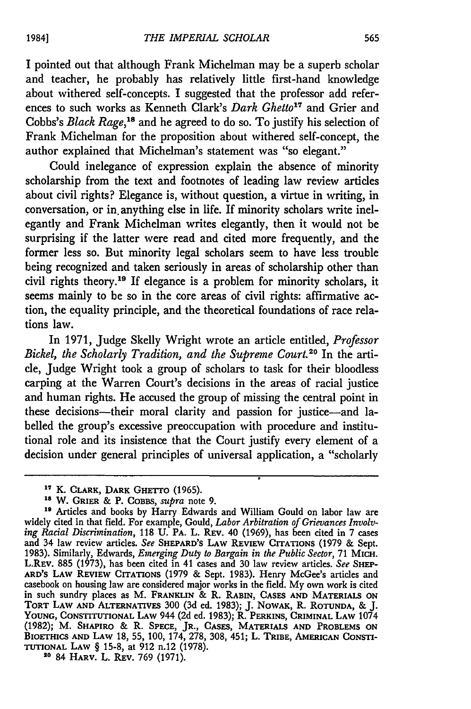I pointed out that although Frank Michelman may be a superb scholar and teacher, he probably has relatively little first-hand knowledge about withered self-concepts. I suggested that the professor add references to such works as Kenneth Clark's *Dark Ghetto1 "* and Grier and Cobbs's *Black Rage*,<sup>18</sup> and he agreed to do so. To justify his selection of Frank Michelman for the proposition about withered self-concept, the author explained that Michelman's statement was "so elegant."

Could inelegance of expression explain the absence of minority scholarship from the text and footnotes of leading law review articles about civil rights? Elegance is, without question, a virtue in writing, in conversation, or in. anything else in life. If minority scholars write inelegantly and Frank Michelman writes elegantly, then it would not be surprising if the latter were read and cited more frequently, and the former less so. But minority legal scholars seem to have less trouble being recognized and taken seriously in areas of scholarship other than civil rights theory.19 If elegance is a problem for minority scholars, it seems mainly to be so in the core areas of civil rights: affirmative action, the equality principle, and the theoretical foundations of race relations law.

In 1971, Judge Skelly Wright wrote an article entitled, *Professor Bickel, the Scholarly Tradition, and the Supreme Court.20* In the article, Judge Wright took a group of scholars to task for their bloodless carping at the Warren Court's decisions in the areas of racial justice and human rights. He accused the group of missing the central point in these decisions-their moral clarity and passion for justice-and labelled the group's excessive preoccupation with procedure and institutional role and its insistence that the Court justify every element of a decision under general principles of universal application, a "scholarly

1984]

**<sup>17</sup>**K. **CLARK, DARK GHETTO** (1965).

<sup>&</sup>lt;sup>18</sup> W. GRIER & P. COBBS, supra note 9.

**<sup>19</sup>**Articles and books by Harry Edwards and William Gould on labor law are widely cited in that field. For example, Gould, *Labor Arbitration of Grievances Involving Racial Discrimination,* **118** U. PA. L. REV. 40 (1969), has been cited in 7 cases and 34 law review articles. *See* SHEPARD'S LAW REVIEW **CITATIONS** (1979 & Sept. 1983). Similarly, Edwards, *Emerging Duty to Bargain in the Public Sector,* 71 MICH. L.REv. **885** (1973), has been cited in 41 cases and **30** law review articles. *See* **SHEP-**ARD'S **LAW** REVIEW CITATIONS (1979 & Sept. 1983). Henry McGee's articles and casebook on housing law are considered major works in the field. My own work is cited in such sundry places as M. **FRANKLIN &** R. **RABIN, CASES AND MATERIALS ON TORT LAW AND ALTERNATIVES 300 (3d** ed. **1983); J. NOWAK,** R. **ROTUNDA, & J. YOUNG, CONSTITUTIONAL LAW** 944 **(2d** ed. **1983);** R. **PERKINS, CRIMINAL LAW** 1074 (1982); M. **SHAPIRO &** R. **SPECE,** JR., **CASES, MATERIALS AND PROBLEMS ON BIOETHICS AND LAW 18, 55,** 100, 174, **278, 308, 451;** L. **TRIBE, AMERICAN CONSTI-TUTIONAL LAW** § **15-8,** at **912** n.12 **(1978).**

**<sup>10</sup>**84 HARV. L. **REV.** 769 **(1971).**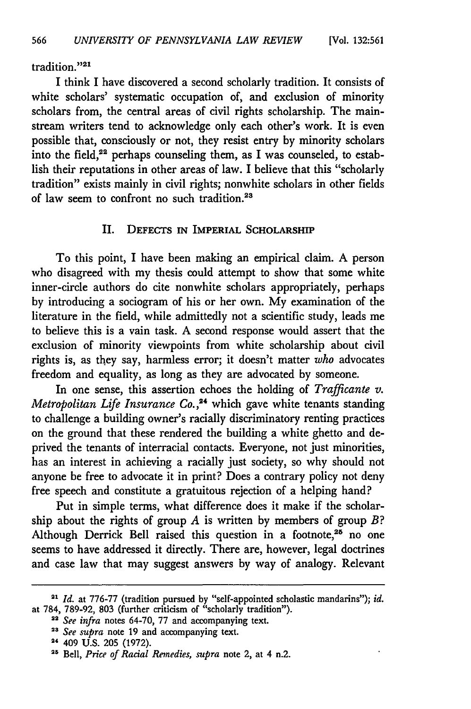tradition."<sup>21</sup>

I think I have discovered a second scholarly tradition. It consists of white scholars' systematic occupation of, and exclusion of minority scholars from, the central areas of civil rights scholarship. The mainstream writers tend to acknowledge only each other's work. It is even possible that, consciously or not, they resist entry by minority scholars into the field, $22$  perhaps counseling them, as I was counseled, to establish their reputations in other areas of law. I believe that this "scholarly tradition" exists mainly in civil rights; nonwhite scholars in other fields of law seem to confront no such tradition.<sup>23</sup>

#### II. **DEFECTS** IN IMPERIAL SCHOLARSHIP

To this point, I have been making an empirical claim. **A** person who disagreed with my thesis could attempt to show that some white inner-circle authors do cite nonwhite scholars appropriately, perhaps **by** introducing a sociogram of his or her own. **My** examination of the literature in the field, while admittedly not a scientific study, leads me to believe this is a vain task. **A** second response would assert that the exclusion of minority viewpoints from white scholarship about civil rights is, as they say, harmless error; it doesn't matter *who* advocates freedom and equality, as long as they are advocated **by** someone.

In one sense, this assertion echoes the holding of *Trafficante v. Metropolitan Life Insurance Co.*,<sup>24</sup> which gave white tenants standing to challenge a building owner's racially discriminatory renting practices on the ground that these rendered the building a white ghetto and deprived the tenants of interracial contacts. Everyone, not just minorities, has an interest in achieving a racially just society, so why should not anyone be free to advocate it in print? Does a contrary policy not deny free speech and constitute a gratuitous rejection of a helping hand?

Put in simple terms, what difference does it make if the scholarship about the rights of group *A* is written **by** members of group *B?* Although Derrick Bell raised this question in a footnote,<sup>25</sup> no one seems to have addressed it directly. There are, however, legal doctrines and case law that may suggest answers **by** way of analogy. Relevant

<sup>21</sup>*Id.* at **776-77** (tradition pursued **by** "self-appointed scholastic mandarins"); *id.* at **784, 789-92, 803** (further criticism of "scholarly tradition").

*<sup>22</sup>See infra* notes 64-70, 77 and accompanying text.

**<sup>23</sup>***See supra* note 19 and accompanying text.

<sup>24</sup>409 U.S. 205 (1972).

**<sup>2&#</sup>x27;5** Bell, *Price of Racial Remedies, supra* note 2, at 4 n.2.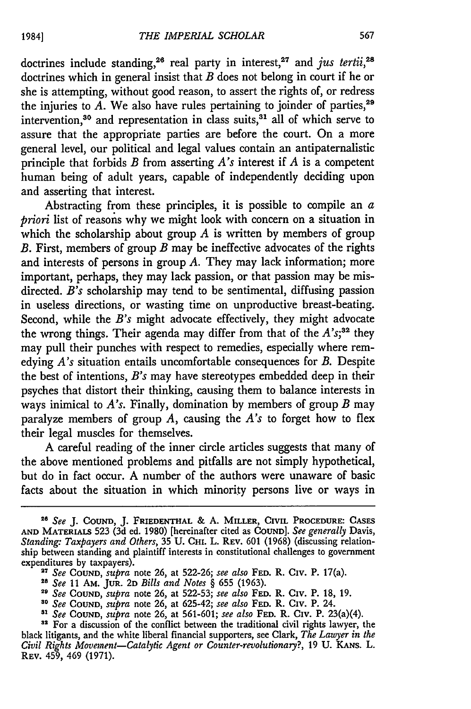doctrines include standing,<sup>26</sup> real party in interest,<sup>27</sup> and *jus tertii*,<sup>28</sup> doctrines which in general insist that *B* does not belong in court if he or she is attempting, without good reason, to assert the rights of, or redress the injuries to  $\tilde{A}$ . We also have rules pertaining to joinder of parties,<sup>29</sup> intervention,<sup>30</sup> and representation in class suits,<sup>31</sup> all of which serve to assure that the appropriate parties are before the court. On a more general level, our political and legal values contain an antipaternalistic principle that forbids *B* from asserting *A's* interest if *A* is a competent human being of adult years, capable of independently deciding upon and asserting that interest.

Abstracting from these principles, it is possible to compile an  $a$ *priori* list of reasons why we might look with concern on a situation in which the scholarship about group *A* is written by members of group *B.* First, members of group *B* may be ineffective advocates of the rights and interests of persons in group *A.* They may lack information; more important, perhaps, they may lack passion, or that passion may be misdirected. *B's* scholarship may tend to be sentimental, diffusing passion in useless directions, or wasting time on unproductive breast-beating. Second, while the *B's* might advocate effectively, they might advocate the wrong things. Their agenda may differ from that of the *A's*;<sup>32</sup> they may pull their punches with respect to remedies, especially where remedying *A's* situation entails uncomfortable consequences for *B.* Despite the best of intentions, *B's* may have stereotypes embedded deep in their psyches that distort their thinking, causing them to balance interests in ways inimical to *A's.* Finally, domination by members of group *B* may paralyze members of group *A,* causing the *A's* to forget how to flex their legal muscles for themselves.

A careful reading of the inner circle articles suggests that many of the above mentioned problems and pitfalls are not simply hypothetical, but do in fact occur. A number of the authors were unaware of basic facts about the situation in which minority persons live or ways in

**<sup>26</sup>***See* J. **COUND, J. FRIEDENTHAL & A. MILLER, CIVIL PROCEDURE: CASES AND** MATERIALS 523 (3d ed. 1980) [hereinafter cited as **COUND].** *See generally* Davis, *Standing: Taxpayers and Others,* 35 U. **CH.** L. REV. 601 (1968) (discussing relationship between standing and plaintiff interests in constitutional challenges to government expenditures by taxpayers). *<sup>217</sup>See* **COUND,** *supra* note 26, at 522-26; *see also* **FED.** R. Civ. P. 17(a).

<sup>28</sup>*See* 11 AM. **JUR. 2D** *Bills and Notes §* 655 (1963).

**<sup>29</sup>***See* **COUND,** *supra* note 26, at 522-53; *see also* **FED.** R. Civ. P. 18, 19.

*SO See* **COUND,** *supra* note 26, at 625-42; *see also* FED. R. Civ. P. 24. **<sup>2</sup>***See* **COUND,** *supra* note 26, at 561-601; *see also* **FED.** R. Civ. P. 23(a)(4).

**<sup>32</sup>**For a discussion of the conflict between the traditional civil rights lawyer, the

black litigants, and the white liberal financial supporters, see Clark, *The Lawyer in the Civil Rights Movement-Catalytic Agent or Counter-revolutionary?,* 19 U. **KANS.** L. REV. 459, 469 (1971).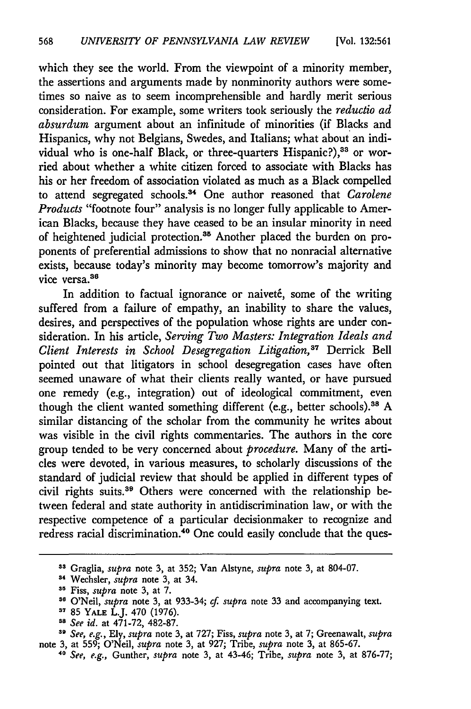which they see the world. From the viewpoint of a minority member, the assertions and arguments made by nonminority authors were sometimes so naive as to seem incomprehensible and hardly merit serious consideration. For example, some writers took seriously the *reductio ad absurdum* argument about an infinitude of minorities (if Blacks and Hispanics, why not Belgians, Swedes, and Italians; what about an individual who is one-half Black, or three-quarters Hispanic?),<sup>33</sup> or worried about whether a white citizen forced to associate with Blacks has his or her freedom of association violated as much as a Black compelled to attend segregated schools." One author reasoned that *Carolene Products* "footnote four" analysis is no longer fully applicable to American Blacks, because they have ceased to be an insular minority in need of heightened judicial protection.35 Another placed the burden on proponents of preferential admissions to show that no nonracial alternative exists, because today's minority may become tomorrow's majority and vice versa.36

In addition to factual ignorance or naiveté, some of the writing suffered from a failure of empathy, an inability to share the values, desires, and perspectives of the population whose rights are under consideration. In his article, *Serving Two Masters: Integration Ideals and Client Interests in School Desegregation Litigation*,<sup>37</sup> Derrick Bell pointed out that litigators in school desegregation cases have often seemed unaware of what their clients really wanted, or have pursued one remedy (e.g., integration) out of ideological commitment, even though the client wanted something different (e.g., better schools).<sup>38</sup> A similar distancing of the scholar from the community he writes about was visible in the civil rights commentaries. The authors in the core group tended to be very concerned about *procedure.* Many of the articles were devoted, in various measures, to scholarly discussions of the standard of judicial review that should be applied in different types of civil rights suits.39 Others were concerned with the relationship between federal and state authority in antidiscrimination law, or with the respective competence of a particular decisionmaker to recognize and redress racial discrimination.<sup>40</sup> One could easily conclude that the ques-

**<sup>33</sup>**Graglia, *supra* note 3, at 352; Van Alstyne, *supra* note 3, at 804-07.

<sup>&</sup>lt;sup>34</sup> Wechsler, *supra* note 3, at 34.

**<sup>35</sup>**Fiss, *supra* note 3, at 7.

**<sup>36</sup>**O'Neil, *supra* note 3, at 933-34; cf. *supra* note 33 and accompanying text.

**<sup>37</sup>**85 **YALE** L.J. 470 (1976).

**<sup>3</sup>** *See id.* at 471-72, 482-87.

**<sup>39</sup>***See, e.g.,* Ely, *supra* note 3, at 727; Fiss, *supra* note 3, at 7; Greenawalt, *supra* note 3, at 559; O'Neil, *supra* note 3, at 927; Tribe, *supra* note 3, at 865-67.

**<sup>40</sup>***See, e.g.,* Gunther, *supra* note 3, at 43-46; Tribe, *supra* note 3, at 876-77;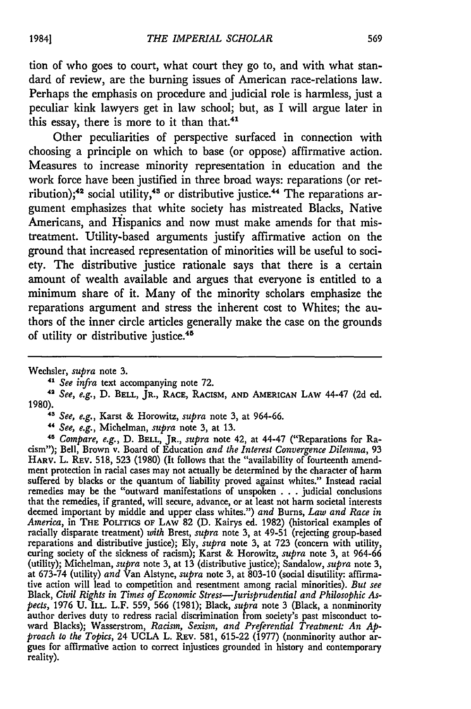tion of who goes to court, what court they go to, and with what standard of review, are the burning issues of American race-relations law. Perhaps the emphasis on procedure and judicial role is harmless, just a peculiar kink lawyers get in law school; but, as I will argue later in this essay, there is more to it than that.<sup>41</sup>

Other peculiarities of perspective surfaced in connection with choosing a principle on which to base (or oppose) affirmative action. Measures to increase minority representation in education and the work force have been justified in three broad ways: reparations (or retribution);<sup>42</sup> social utility,<sup>43</sup> or distributive justice.<sup>44</sup> The reparations argument emphasizes that white society has mistreated Blacks, Native Americans, and Hispanics and now must make amends for that mistreatment. Utility-based arguments justify affirmative action on the ground that increased representation of minorities will be useful to society. The distributive justice rationale says that there is a certain amount of wealth available and argues that everyone is entitled to a minimum share of it. Many of the minority scholars emphasize the reparations argument and stress the inherent cost to Whites; the authors of the inner circle articles generally make the case on the grounds of utility or distributive justice.<sup>45</sup>

Wechsler, *supra* note **3.**

**<sup>41</sup>***See infra* text accompanying note **72.**

*42 See, e.g.,* **D.** BELL, JR., RACE, **RACISM, AND** AMERICAN **LAW** 44-47 (2d ed. 1980).

*43 See, e.g.,* Karst & Horowitz, *supra* note **3,** at 964-66.

*44 See, e.g.,* Michelman, *supra* note **3,** at **13.**

*41 Compare, e.g.,* **D.** BELL, JR., *supra* note 42, at 44-47 ("Reparations for Racism"); Bell, Brown v. Board of Education *and the Interest Convergence Dilemma,* 93 HARV. L. REV. 518, **523** (1980) (It follows that the "availability of fourteenth amendment protection in racial cases may not actually be determined by the character of harm suffered by blacks or the quantum of liability proved against whites." Instead racial remedies may be the "outward manifestations of unspoken **.** . **.** judicial conclusions that the remedies, if granted, will secure, advance, or at least not harm societal interests deemed important by middle and upper class whites.") *and* Burns, *Law and Race in America,* in **THE POLrrICs OF** LAW **82 (D.** Kairys ed. 1982) (historical examples of racially disparate treatment) *with* Brest, *supra* note **3,** at 49-51 (rejecting group-based reparations and distributive justice); Ely, *supra* note 3, at **723** (concern with utility, curing society of the sickness of racism); Karst & Horowitz, *supra* note **3,** at 964-66 (utility); Michelman, *supra* note **3,** at **13** (distributive justice); Sandalow, *supra* note **3,** at **673-74** (utility) *and* Van Alstyne, *supra* note **3,** at 803-10 (social disutility: affirmative action will lead to competition and resentment among racial minorities). *But see* Black, *Civil Rights in Times of Economic Stress-Jurisprudential and Philosophic Aspects,* 1976 U. **ILL.** L.F. 559, 566 (1981); Black, *supra* note 3 (Black, a nonminority author derives duty to redress racial discrimination from society's past misconduct toward Blacks); Wasserstrom, *Racism, Sexism, and Preferential Treatment: An Approach to the Topics,* 24 **UCLA** L. REV. 581, 615-22 (1977) (nonminority author ar gues for affirmative action to correct injustices grounded in history and contemporary reality).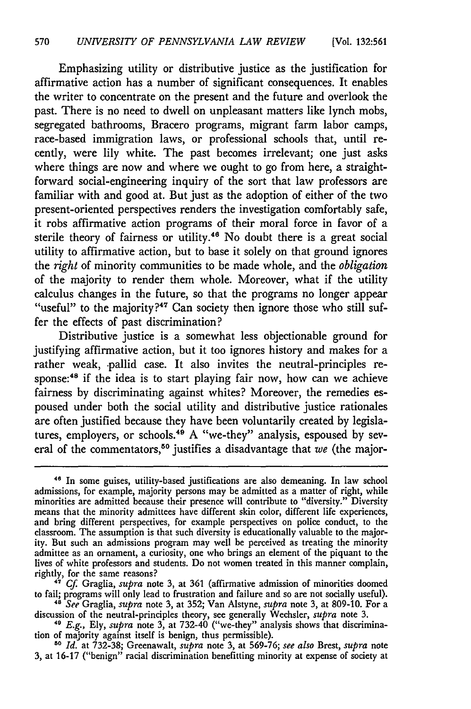Emphasizing utility or distributive justice as the justification for affirmative action has a number of significant consequences. It enables the writer to concentrate on the present and the future and overlook the past. There is no need to dwell on unpleasant matters like lynch mobs, segregated bathrooms, Bracero programs, migrant farm labor camps, race-based immigration laws, or professional schools that, until recently, were lily white. The past becomes irrelevant; one just asks where things are now and where we ought to go from here, a straightforward social-engineering inquiry of the sort that law professors are familiar with and good at. But just as the adoption of either of the two present-oriented perspectives renders the investigation comfortably safe, it robs affirmative action programs of their moral force in favor of a sterile theory of fairness or utility.<sup>46</sup> No doubt there is a great social utility to affirmative action, but to base it solely on that ground ignores the *right* of minority communities to be made whole, and the *obligation* of the majority to render them whole. Moreover, what if the utility calculus changes in the future, so that the programs no longer appear "useful" to the majority?<sup>47</sup> Can society then ignore those who still suffer the effects of past discrimination?

Distributive justice is a somewhat less objectionable ground for justifying affirmative action, but it too ignores history and makes for a rather weak, pallid case. It also invites the neutral-principles response:48 if the idea is to start playing fair now, how can we achieve fairness by discriminating against whites? Moreover, the remedies espoused under both the social utility and distributive justice rationales are often justified because they have been voluntarily created by legislatures, employers, or schools.<sup>49</sup> A "we-they" analysis, espoused by several of the commentators,<sup>50</sup> justifies a disadvantage that *we* (the major-

**<sup>46</sup>**In some guises, utility-based justifications are also demeaning. In law school admissions, for example, majority persons may be admitted as a matter of right, while minorities are admitted because their presence will contribute to "diversity." Diversity means that the minority admittees have different skin color, different life experiences, and bring different perspectives, for example perspectives on police conduct, to the classroom. The assumption is that such diversity is educationally valuable to the majority. But such an admissions program may well be perceived as treating the minority admittee as an ornament, a curiosity, one who brings an element of the piquant to the lives of white professors and students. Do not women treated in this manner complain, rightly, for the same reasons?

**<sup>11</sup>Cf.** Graglia, *supra* note 3, at 361 (affirmative admission of minorities doomed to fail; programs will only lead to frustration and failure and so are not socially useful).

*<sup>4</sup> See* Graglia, *supra* note 3, at 352; Van Alstyne, *supra* note 3, at 809-10. For a discussion of the neutral-principles theory, see generally Wechsler, *supra* note 3.

*<sup>9</sup> E.g.,* Ely, *supra* note 3, at 732-40 ("we-they" analysis shows that discrimination of majority against itself is benign, thus permissible).

*<sup>50</sup>Id.* at 732-38; Greenawalt, *supra* note 3, at 569-76; *see also* Brest, *supra* note 3, at 16-17 ("benign" racial discrimination benefitting minority at expense of society at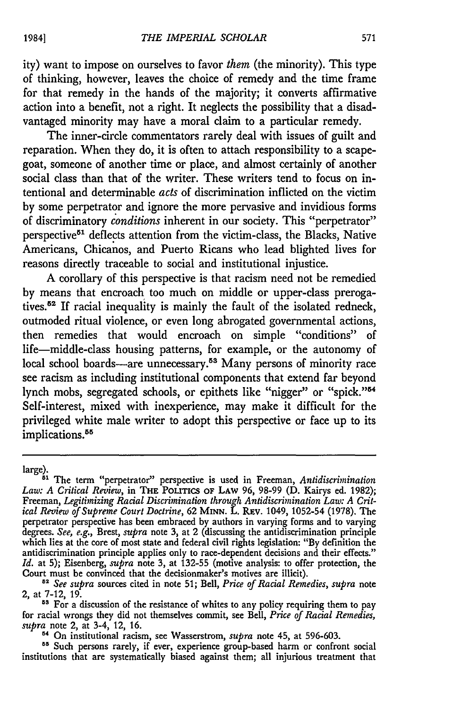ity) want to impose on ourselves to favor *them* (the minority). This type of thinking, however, leaves the choice of remedy and the time frame for that remedy in the hands of the majority; it converts affirmative action into a benefit, not a right. It neglects the possibility that a disadvantaged minority may have a moral claim to a particular remedy.

The inner-circle commentators rarely deal with issues of guilt and reparation. When they do, it is often to attach responsibility to a scapegoat, someone of another time or place, and almost certainly of another social class than that of the writer. These writers tend to focus on intentional and determinable *acts* of discrimination inflicted on the victim **by** some perpetrator and ignore the more pervasive and invidious forms of discriminatory *conditions* inherent in our society. This "perpetrator" perspective<sup>51</sup> deflects attention from the victim-class, the Blacks, Native Americans, Chicanos, and Puerto Ricans who lead blighted lives for reasons directly traceable to social and institutional injustice.

**A** corollary of this perspective is that racism need not be remedied **by** means that encroach too much on middle or upper-class prerogatives.<sup>52</sup> If racial inequality is mainly the fault of the isolated redneck, outmoded ritual violence, or even long abrogated governmental actions, then remedies that would encroach on simple "conditions" of life-middle-class housing patterns, for example, or the autonomy of local school boards-are unnecessary.<sup>53</sup> Many persons of minority race see racism as including institutional components that extend far beyond lynch mobs, segregated schools, or epithets like "nigger" or "spick."<sup>54</sup> Self-interest, mixed with inexperience, may make it difficult for the privileged white male writer to adopt this perspective or face up to its implications.<sup>55</sup>

large).

**<sup>&</sup>quot;1** The term "perpetrator" perspective is used in Freeman, *Antidiscrimination Law: A Critical Review,* in **THE PoLrrIcs OF LAW 96, 98-99 (D.** Kairys ed. **1982);** Freeman, *Legitimizing Racial Discrimination through Antidiscrimination Law: A Critical Review of Supreme Court Doctrine,* **62 MINN.** L. REv. 1049, 1052-54 **(1978).** The perpetrator perspective has been embraced **by** authors in varying forms and to varying degrees. See, e.g., Brest, *supra* note **3,** at 2 (discussing the antidiscrimination principle which lies at the core of most state and federal civil rights legislation: **"By** definition the antidiscrimination principle applies only to race-dependent decisions and their effects." *Id.* at **5);** Eisenberg, *supra* note **3,** at **132-55** (motive analysis: to offer protection, the Court must be convinced that the decisionmaker's motives are illicit).

*<sup>52</sup>See supra* sources cited in note **51;** Bell, *Price of Racial Remedies, supra* note 2, at **7-12, 19.**

<sup>&</sup>lt;sup>53</sup> For a discussion of the resistance of whites to any policy requiring them to pay for racial wrongs they did not themselves commit, see Bell, *Price of Racial Remedies, supra* note 2, at 3-4, 12, **16.**

**<sup>5</sup>** On institutional racism, see Wasserstrom, *supra* note 45, at **596-603.**

<sup>&</sup>lt;sup>55</sup> Such persons rarely, if ever, experience group-based harm or confront social institutions that are systematically biased against them; all injurious treatment that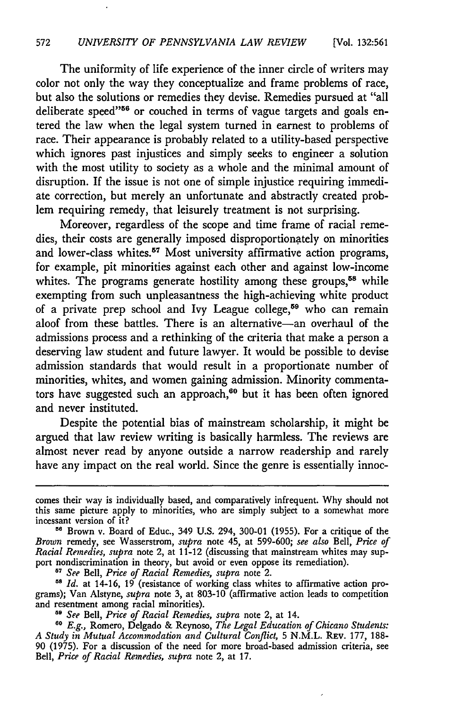The uniformity of life experience of the inner circle of writers may color not only the way they conceptualize and frame problems of race, but also the solutions or remedies they devise. Remedies pursued at "all deliberate speed"<sup>56</sup> or couched in terms of vague targets and goals entered the law when the legal system turned in earnest to problems of race. Their appearance is probably related to a utility-based perspective which ignores past injustices and simply seeks to engineer a solution with the most utility to society as a whole and the minimal amount of disruption. If the issue is not one of simple injustice requiring immediate correction, but merely an unfortunate and abstractly created problem requiring remedy, that leisurely treatment is not surprising.

Moreover, regardless of the scope and time frame of racial remedies, their costs are generally imposed disproportionately on minorities and lower-class whites.<sup>57</sup> Most university affirmative action programs, for example, pit minorities against each other and against low-income whites. The programs generate hostility among these groups,<sup>58</sup> while exempting from such unpleasantness the high-achieving white product of a private prep school and Ivy League college,<sup>59</sup> who can remain aloof from these battles. There is an alternative-an overhaul of the admissions process and a rethinking of the criteria that make a person a deserving law student and future lawyer. It would be possible to devise admission standards that would result in a proportionate number of minorities, whites, and women gaining admission. Minority commentators have suggested such an approach,<sup>60</sup> but it has been often ignored and never instituted.

Despite the potential bias of mainstream scholarship, it might be argued that law review writing is basically harmless. The reviews are almost never read by anyone outside a narrow readership and rarely have any impact on the real world. Since the genre is essentially innoc-

*See* Bell, *Price of Racial Remedies, supra* note 2.

comes their way is individually based, and comparatively infrequent. Why should not this same picture apply to minorities, who are simply subject to a somewhat more incessant version of it?

<sup>&</sup>lt;sup>86</sup> Brown v. Board of Educ., 349 U.S. 294, 300-01 (1955). For a critique of the *Brown* remedy, see Wasserstrom, *supra* note 45, at 599-600; *see also* Bell, *Price of Racial Remedies, supra* note 2, at 11-12 (discussing that mainstream whites may support nondiscrimination in theory, but avoid or even oppose its remediation).

<sup>8</sup> *Id.* at 14-16, 19 (resistance of working class whites to affirmative action programs); Van Alstyne, *supra* note 3, at 803-10 (affirmative action leads to competition and resentment among racial minorities).

*See* Bell, *Price of Racial Remedies, supra* note 2, at 14.

*E.g.,* Romero, Delgado & Reynoso, *The Legal Education of Chicano Students: A Study in Mutual Accommodation and Cultural Conflict,* 5 N.M.L. REv. 177, 188- 90 (1975). For a discussion of the need for more broad-based admission criteria, see Bell, *Price of Racial Remedies, supra* note 2, at 17.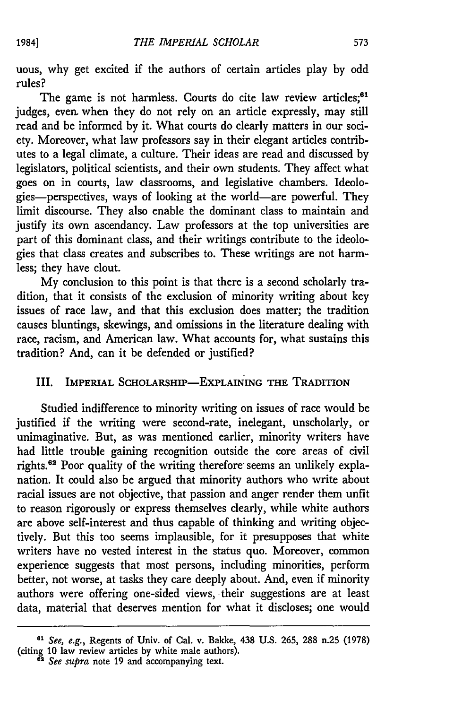uous, why get excited if the authors of certain articles play **by** odd rules?

The game is not harmless. Courts do cite law review articles; $61$ judges, even. when they do not rely on an article expressly, may still read and be informed **by** it. What courts do clearly matters in our society. Moreover, what law professors say in their elegant articles contributes to a legal climate, a culture. Their ideas are read and discussed **by** legislators, political scientists, and their own students. They affect what goes on in courts, law classrooms, and legislative chambers. Ideologies-perspectives, ways of looking at the world-are powerful. They limit discourse. They also enable the dominant class to maintain and justify its own ascendancy. Law professors at the top universities are part of this dominant class, and their writings contribute to the ideologies that class creates and subscribes to. These writings are not harmless; they have clout.

**My** conclusion to this point is that there is a second scholarly tradition, that it consists of the exclusion of minority writing about key issues of race law, and that this exclusion does matter; the tradition causes bluntings, skewings, and omissions in the literature dealing with race, racism, and American law. What accounts for, what sustains this tradition? And, can it be defended or justified?

#### III. **IMPERIAL SCHOLARSHIP-EXPLAINING THE TRADITION**

Studied indifference to minority writing on issues of race would be justified if the writing were second-rate, inelegant, unscholarly, or unimaginative. But, as was mentioned earlier, minority writers have had little trouble gaining recognition outside the core areas of civil rights.<sup>62</sup> Poor quality of the writing therefore seems an unlikely explanation. It could also be argued that minority authors who write about racial issues are not objective, that passion and anger render them unfit to reason rigorously or express themselves dearly, while white authors are above self-interest and thus capable of thinking and writing objectively. But this too seems implausible, for it presupposes that white writers have no vested interest in the status quo. Moreover, common experience suggests that most persons, including minorities, perform better, not worse, at tasks they care deeply about. And, even if minority authors were offering one-sided views, their suggestions are at least data, material that deserves mention for what it discloses; one would

**1984]**

*<sup>&</sup>quot;1 See, e.g.,* Regents of Univ. of Cal. v. Bakke, 438 **U.S. 265, 288** n.25 (1978) (citing 10 law review articles **by** white male authors). **<sup>62</sup>***See supra* note **19** and accompanying text.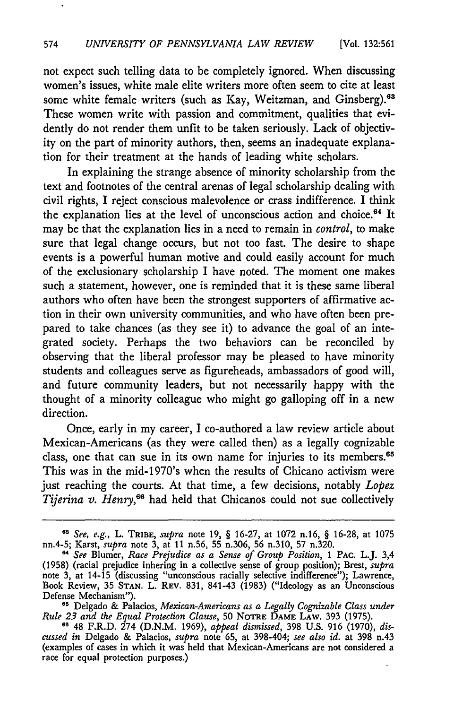not expect such telling data to be completely ignored. When discussing women's issues, white male elite writers more often seem to cite at least some white female writers (such as Kay, Weitzman, and Ginsberg).<sup>63</sup> These women write with passion and commitment, qualities that evidently do not render them unfit to be taken seriously. Lack of objectivity on the part of minority authors, then, seems an inadequate explanation for their treatment at the hands of leading white scholars.

In explaining the strange absence of minority scholarship from the text and footnotes of the central arenas of legal scholarship dealing with civil rights, I reject conscious malevolence or crass indifference. I think the explanation lies at the level of unconscious action and choice.<sup>64</sup> It may be that the explanation lies in a need to remain in *control,* to make sure that legal change occurs, but not too fast. The desire to shape events is a powerful human motive and could easily account for much of the exclusionary scholarship I have noted. The moment one makes such a statement, however, one is reminded that it is these same liberal authors who often have been the strongest supporters of affirmative action in their own university communities, and who have often been prepared to take chances (as they see it) to advance the goal of an integrated society. Perhaps the two behaviors can be reconciled by observing that the liberal professor may be pleased to have minority students and colleagues serve as figureheads, ambassadors of good will, and future community leaders, but not necessarily happy with the thought of a minority colleague who might go galloping off in a new direction.

Once, early in my career, I co-authored a law review article about Mexican-Americans (as they were called then) as a legally cognizable class, one that can sue in its own name for injuries to its members. $65$ This was in the mid-1970's when the results of Chicano activism were just reaching the courts. At that time, a few decisions, notably *Lopez* Tijerina v. Henry,<sup>66</sup> had held that Chicanos could not sue collectively

**<sup>63</sup>***See, e.g.,* L. TRIBE, *supra* note 19, § 16-27, at 1072 n.16, § 16-28, at 1075 nn.4-5; Karst, *supra* note 3, at 11 n.56, 55 n.306, 56 n.310, 57 n.320.

*<sup>&</sup>quot; See* Blumer, *Race Prejudice as a Sense of Group Position,* 1 **PAC.** L.J. 3,4 (1958) (racial prejudice inhering in a collective sense of group position); Brest, *supra* note 3, at 14-15 (discussing "unconscious racially selective indifference"); Lawrence Book Review, 35 **STAN.** L. REV. 831, 841-43 (1983) ("Ideology as an Unconscious Defense Mechanism").

**<sup>15</sup>**Delgado & Palacios, *Mexican-Americans as a Legally Cognizable Class under Rule 23 and the Equal Protection Clause,* 50 NOTRE DAME LAW. 393 (1975).

**<sup>66</sup>** 48 F.R.D. 274 (D.N.M. 1969), *appeal dismissed,* 398 U.S. 916 (1970), *discussed in* Delgado & Palacios, *supra* note 65, at 398-404; *see also id.* at 398 n.43 (examples of cases in which it was held that Mexican-Americans are not considered a race for equal protection purposes.)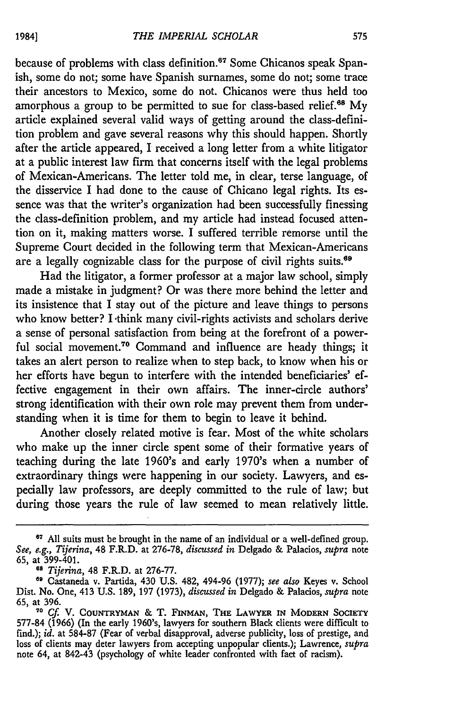because of problems with class definition.<sup>67</sup> Some Chicanos speak Spanish, some do not; some have Spanish surnames, some do not; some trace their ancestors to Mexico, some do not. Chicanos were thus held too amorphous a group to be permitted to sue for class-based relief.<sup>68</sup> My article explained several valid ways of getting around the class-definition problem and gave several reasons why this should happen. Shortly after the article appeared, I received a long letter from a white litigator at a public interest law firm that concerns itself with the legal problems of Mexican-Americans. The letter told me, in clear, terse language, of the disservice I had done to the cause of Chicano legal rights. Its essence was that the writer's organization had been successfully finessing the class-definition problem, and my article had instead focused attention on it, making matters worse. I suffered terrible remorse until the Supreme Court decided in the following term that Mexican-Americans are a legally cognizable class for the purpose of civil rights suits.<sup>69</sup>

Had the litigator, a former professor at a major law school, simply made a mistake in judgment? Or was there more behind the letter and its insistence that I stay out of the picture and leave things to persons who know better? I think many civil-rights activists and scholars derive a sense of personal satisfaction from being at the forefront of a powerful social movement.<sup>70</sup> Command and influence are heady things; it takes an alert person to realize when to step back, to know when his or her efforts have begun to interfere with the intended beneficiaries' effective engagement in their own affairs. The inner-circle authors' strong identification with their own role may prevent them from understanding when it is time for them to begin to leave it behind.

Another closely related motive is fear. Most of the white scholars who make up the inner circle spent some of their formative years of teaching during the late 1960's and early 1970's when a number of extraordinary things were happening in our society. Lawyers, and especially law professors, are deeply committed to the rule of law; but during those years the rule of law seemed to mean relatively little.

1984]

**<sup>67</sup>**All suits must be brought in the name of an individual or a well-defined group. *See, e.g., Tijerina,* 48 F.R.D. at 276-78, *discussed in* Delgado & Palacios, *supra* note 65, at 399-401.

*<sup>68</sup>Tijerina,* 48 F.R.D. at 276-77.

**<sup>9</sup>** Castaneda v. Partida, 430 U.S. 482, 494-96 (1977); *see also* Keyes v. School Dist. No. One, 413 U.S. 189, 197 (1973), *discussed in* Delgado & Palacios, *supra* note **65,** at 396.

**<sup>70</sup>***Cf* V. **COUNTRYMAN** *&* T. **FINMAN,** THE LAWYER **IN** MODERN **SOCIETY 577-84 (1966)** (In the early 1960's, lawyers for southern Black clients were difficult to find.); *id.* at **584-87** (Fear of verbal disapproval, adverse publicity, loss of prestige, and loss of clients may deter lawyers from accepting unpopular clients.); Lawrence, *supra* note 64, at 842-43 (psychology of white leader confronted with fact of racism).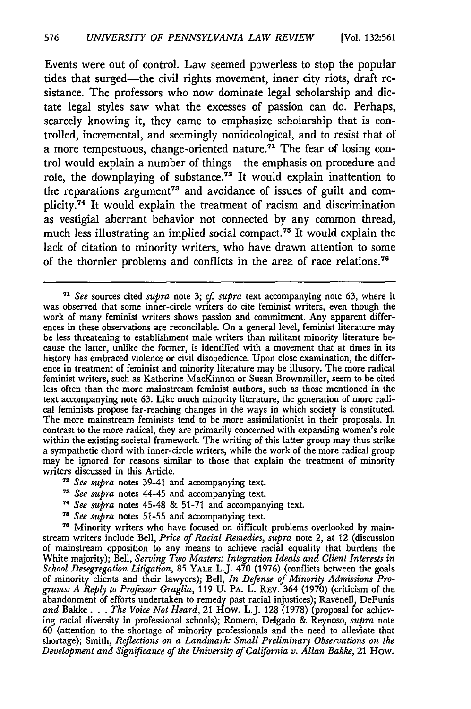Events were out of control. Law seemed powerless to stop the popular tides that surged-the civil rights movement, inner city riots, draft resistance. The professors who now dominate legal scholarship and dictate legal styles saw what the excesses of passion can do. Perhaps, scarcely knowing it, they came to emphasize scholarship that is controlled, incremental, and seemingly nonideological, and to resist that of a more tempestuous, change-oriented nature.<sup>71</sup> The fear of losing control would explain a number of things-the emphasis on procedure and role, the downplaying of substance.<sup>72</sup> It would explain inattention to the reparations argument<sup>73</sup> and avoidance of issues of guilt and complicity.74 It would explain the treatment of racism and discrimination as vestigial aberrant behavior not connected by any common thread, much less illustrating an implied social compact.<sup>75</sup> It would explain the lack of citation to minority writers, who have drawn attention to some of the thornier problems and conflicts in the area of race relations.<sup>76</sup>

- *<sup>72</sup>See supra* notes 39-41 and accompanying text.
- <sup>73</sup> See supra notes 44-45 and accompanying text.
- **'** *See supra* notes 45-48 & 51-71 and accompanying text.
- <sup>75</sup> See supra notes 51-55 and accompanying text.

**78** Minority writers who have focused on difficult problems overlooked by mainstream writers include Bell, *Price of Racial Remedies, supra* note 2, at 12 (discussion of mainstream opposition to any means to achieve racial equality that burdens the White majority); Bell, *Serving Two Masters: Integration Ideals and Client Interests in School Desegregation Litigation,* 85 YALE L.J. 470 (1976) (conflicts between the goals of minority clients and their lawyers); Bell, *In Defense of Minority Admissions Programs: A Reply to Professor Graglia,* 119 U. PA. L. REV. 364 (1970) (criticism of the abandonment of efforts undertaken to remedy past racial injustices); Ravenell, DeFunis *and* Bakke. **.** . *The Voice Not Heard,* 21 How. L.J. 128 (1978) (proposal for achieving racial diversity in professional schools); Romero, Delgado & Reynoso, *supra* note 60 (attention to the shortage of minority professionals and the need to alleviate that shortage); Smith, *Reflections on a Landmark. Small Preliminary Observations on the Development and Significance of the University of California v. Allan* Bakke, 21 How.

**<sup>71</sup>***See* sources cited *supra* note 3; *cf. supra* text accompanying note 63, where it was observed that some inner-circle writers do cite feminist writers, even though the work of many feminist writers shows passion and commitment. Any apparent differences in these observations are reconcilable. On a general level, feminist literature may be less threatening to establishment male writers than militant minority literature because the latter, unlike the former, is identified with a movement that at times in its history has embraced violence or civil disobedience. Upon close examination, the difference in treatment of feminist and minority literature may be illusory. The more radical feminist writers, such as Katherine MacKinnon or Susan Brownmiller, seem to be cited less often than the more mainstream feminist authors, such as those mentioned in the text accompanying note 63. Like much minority literature, the generation of more radical feminists propose far-reaching changes in the ways in which society is constituted. The more mainstream feminists tend to be more assimilationist in their proposals. In contrast to the more radical, they are primarily concerned with expanding women's role within the existing societal framework. The writing of this latter group may thus strike a sympathetic chord with inner-circle writers, while the work of the more radical group a sympathetic chord with inner-circle writers, while the work of the more radical group may be ignored for reasons similar to those that explain the treatment of minority writers discussed in this Article.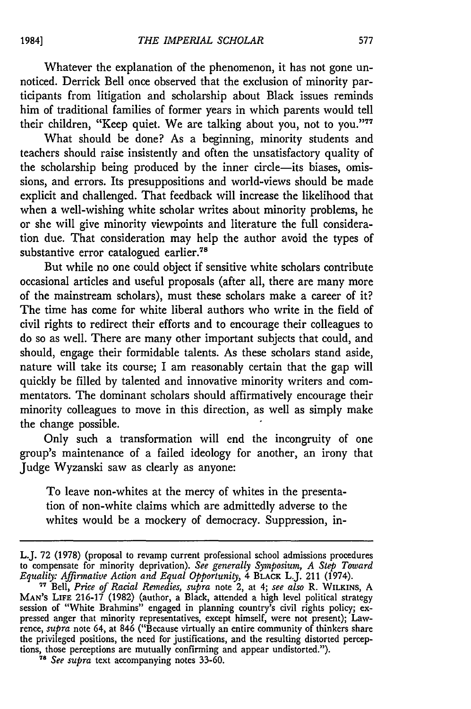Whatever the explanation of the phenomenon, it has not gone unnoticed. Derrick Bell once observed that the exclusion of minority participants from litigation and scholarship about Black issues reminds him of traditional families of former years in which parents would tell their children, "Keep quiet. We are talking about you, not to **you.""7**

What should be done? As a beginning, minority students and teachers should raise insistently and often the unsatisfactory quality of the scholarship being produced **by** the inner circle-its biases, omissions, and errors. Its presuppositions and world-views should be made explicit and challenged. That feedback will increase the likelihood that when a well-wishing white scholar writes about minority problems, he or she will give minority viewpoints and literature the full consideration due. That consideration may help the author avoid the types of substantive error catalogued earlier.<sup>78</sup>

But while no one could object if sensitive white scholars contribute occasional articles and useful proposals (after all, there are many more of the mainstream scholars), must these scholars make a career of it? The time has come for white liberal authors who write in the field of civil rights to redirect their efforts and to encourage their colleagues to do so as well. There are many other important subjects that could, and should, engage their formidable talents. As these scholars stand aside, nature will take its course; I am reasonably certain that the gap will quickly be filled **by** talented and innovative minority writers and commentators. The dominant scholars should affirmatively encourage their minority colleagues to move in this direction, as well as simply make the change possible.

Only such a transformation will end the incongruity of one group's maintenance of a failed ideology for another, an irony that Judge Wyzanski saw as clearly as anyone:

To leave non-whites at the mercy of whites in the presentation of non-white claims which are admittedly adverse to the whites would be a mockery of democracy. Suppression, in-

L.J. **72 (1978)** (proposal to revamp current professional school admissions procedures to compensate for minority deprivation). *See generally Symposium, A Step Toward Equality: Affirmative Action and Equal Opportunity,* 4 **BLACK** L.J. 211 (1974).

**<sup>77</sup>**Bell, *Price of Racial Remedies, supra* note 2, at 4; *see also* R. **WILKINS, A MAN'S LIFE 216-17 (1982)** (author, a Black, attended a high level political strategy session of "White Brahmins" engaged in planning country's civil rights policy; ex- pressed anger that minority representatives, except himself, were not present); Lawrence, *supra* note 64, at 846 ("Because virtually an entire community of thinkers share the privileged positions, the need for justifications, and the resulting distorted perceptions, those perceptions are mutually confirming and appear undistorted."). **<sup>78</sup>***See supra* text accompanying notes **33-60.**